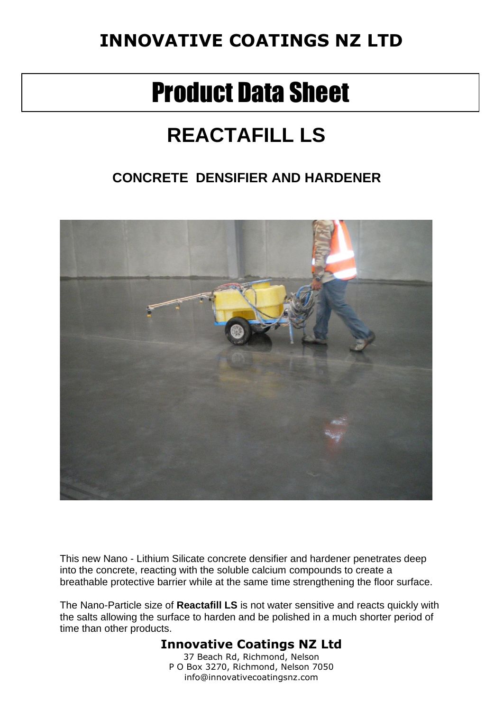# Product Data Sheet

# **REACTAFILL LS**

### **CONCRETE DENSIFIER AND HARDENER**



This new Nano - Lithium Silicate concrete densifier and hardener penetrates deep into the concrete, reacting with the soluble calcium compounds to create a breathable protective barrier while at the same time strengthening the floor surface.

The Nano-Particle size of **Reactafill LS** is not water sensitive and reacts quickly with the salts allowing the surface to harden and be polished in a much shorter period of time than other products.

### **Innovative Coatings NZ Ltd**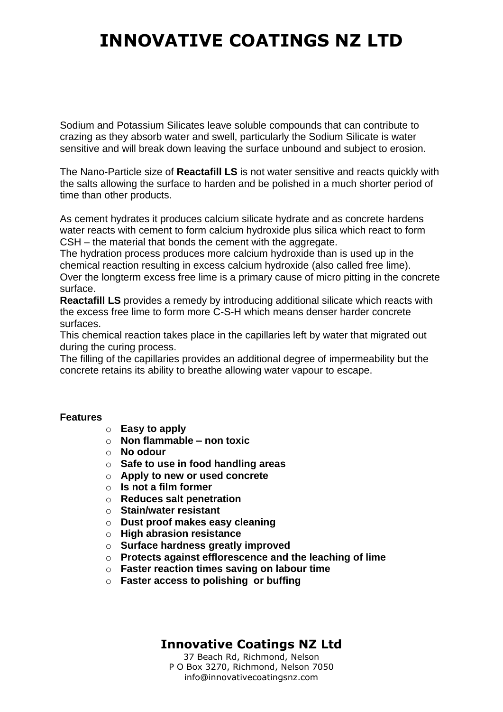Sodium and Potassium Silicates leave soluble compounds that can contribute to crazing as they absorb water and swell, particularly the Sodium Silicate is water sensitive and will break down leaving the surface unbound and subject to erosion.

The Nano-Particle size of **Reactafill LS** is not water sensitive and reacts quickly with the salts allowing the surface to harden and be polished in a much shorter period of time than other products.

As cement hydrates it produces calcium silicate hydrate and as concrete hardens water reacts with cement to form calcium hydroxide plus silica which react to form CSH – the material that bonds the cement with the aggregate.

The hydration process produces more calcium hydroxide than is used up in the chemical reaction resulting in excess calcium hydroxide (also called free lime). Over the longterm excess free lime is a primary cause of micro pitting in the concrete surface.

**Reactafill LS** provides a remedy by introducing additional silicate which reacts with the excess free lime to form more C-S-H which means denser harder concrete surfaces.

This chemical reaction takes place in the capillaries left by water that migrated out during the curing process.

The filling of the capillaries provides an additional degree of impermeability but the concrete retains its ability to breathe allowing water vapour to escape.

#### **Features**

- o **Easy to apply**
- o **Non flammable – non toxic**
- o **No odour**
- o **Safe to use in food handling areas**
- o **Apply to new or used concrete**
- o **Is not a film former**
- o **Reduces salt penetration**
- o **Stain/water resistant**
- o **Dust proof makes easy cleaning**
- o **High abrasion resistance**
- o **Surface hardness greatly improved**
- o **Protects against efflorescence and the leaching of lime**
- o **Faster reaction times saving on labour time**
- o **Faster access to polishing or buffing**

#### **Innovative Coatings NZ Ltd**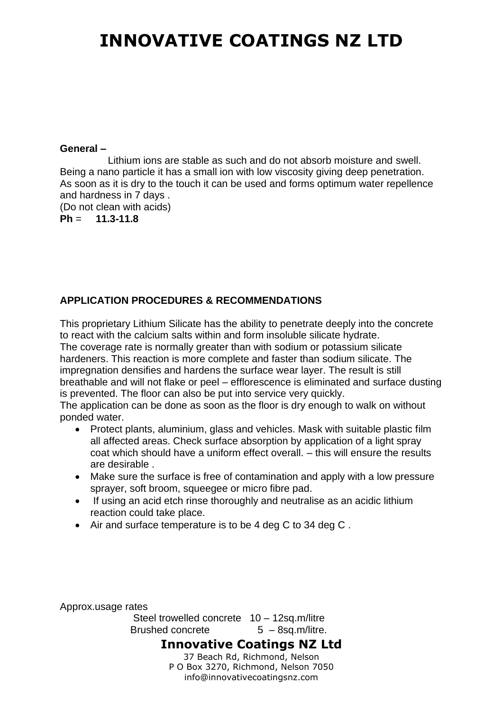#### **General –**

 Lithium ions are stable as such and do not absorb moisture and swell. Being a nano particle it has a small ion with low viscosity giving deep penetration. As soon as it is dry to the touch it can be used and forms optimum water repellence and hardness in 7 days . (Do not clean with acids) **Ph** = **11.3-11.8**

### **APPLICATION PROCEDURES & RECOMMENDATIONS**

This proprietary Lithium Silicate has the ability to penetrate deeply into the concrete to react with the calcium salts within and form insoluble silicate hydrate. The coverage rate is normally greater than with sodium or potassium silicate hardeners. This reaction is more complete and faster than sodium silicate. The impregnation densifies and hardens the surface wear layer. The result is still breathable and will not flake or peel – efflorescence is eliminated and surface dusting is prevented. The floor can also be put into service very quickly.

The application can be done as soon as the floor is dry enough to walk on without ponded water.

- Protect plants, aluminium, glass and vehicles. Mask with suitable plastic film all affected areas. Check surface absorption by application of a light spray coat which should have a uniform effect overall. – this will ensure the results are desirable .
- Make sure the surface is free of contamination and apply with a low pressure sprayer, soft broom, squeegee or micro fibre pad.
- If using an acid etch rinse thoroughly and neutralise as an acidic lithium reaction could take place.
- Air and surface temperature is to be 4 deg C to 34 deg C .

Approx.usage rates

 Steel trowelled concrete 10 – 12sq.m/litre Brushed concrete 5 – 8sq.m/litre.

**Innovative Coatings NZ Ltd**